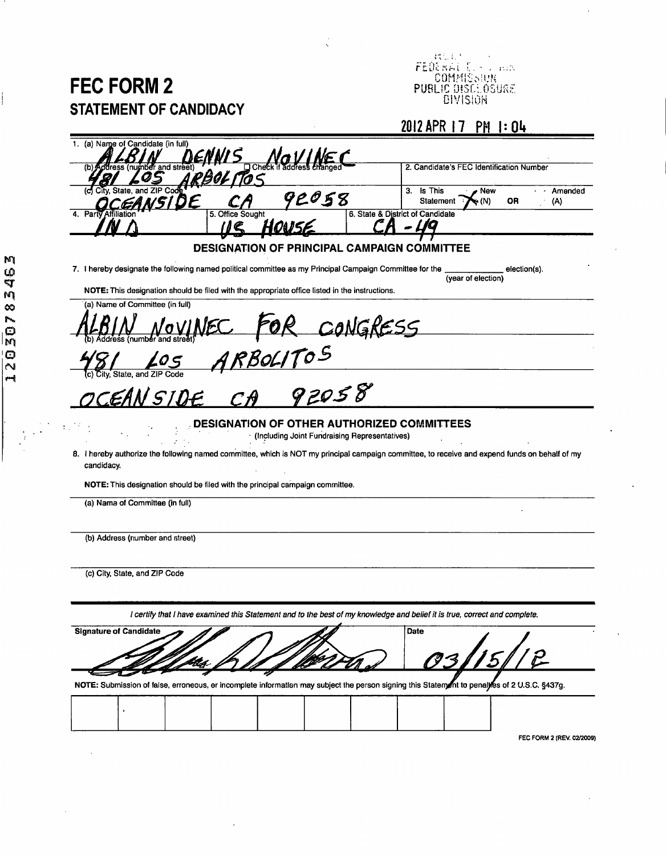## **FEC FORM 2 STATEMENT OF CANDIDACY**

 $\text{COMMSSUR}$ PUBLIC DISCEOSURE. DiVISiOH

## **2012 APR 17 PH |:0I»**

| (a) Name of Candidate (in full)                                                                                                                              |                                                                        |
|--------------------------------------------------------------------------------------------------------------------------------------------------------------|------------------------------------------------------------------------|
|                                                                                                                                                              | 2. Candidate's FEC Identification Number                               |
| ZIP Cod<br>92058                                                                                                                                             | 3. Is This<br>, New<br>Amended<br>Statement<br>OR<br>$(\wedge)$<br>(N) |
| 5. Office Sought                                                                                                                                             | 6. State & District of Candidate                                       |
| <b>DESIGNATION OF PRINCIPAL CAMPAIGN COMMITTEE</b>                                                                                                           |                                                                        |
| 7. I hereby designate the following named political committee as my Principal Campaign Committee for the                                                     | election(s).                                                           |
| NOTE: This designation should be filed with the appropriate office listed in the instructions.                                                               | (year of election)                                                     |
| (a) Name of Committee (in full)                                                                                                                              |                                                                        |
| CONGRESS                                                                                                                                                     |                                                                        |
| $ARBOLITOS\n-\rightarrow 92058$                                                                                                                              |                                                                        |
| State, and ZIP                                                                                                                                               |                                                                        |
| IN SIDE                                                                                                                                                      |                                                                        |
| <b>DESIGNATION OF OTHER AUTHORIZED COMMITTEES</b><br>(Including Joint Fundraising Representatives)                                                           |                                                                        |
| 8. I hereby authorize the following named committee, which is NOT my principal campaign committee, to receive and expend funds on behalf of my<br>candidacy. |                                                                        |
| NOTE: This designation should be filed with the principal campaign committee.                                                                                |                                                                        |
| (a) Nama of Committee (in full)                                                                                                                              |                                                                        |
|                                                                                                                                                              |                                                                        |
| (b) Address (riumber and street)                                                                                                                             |                                                                        |
| (c) City, State, and ZIP Code                                                                                                                                |                                                                        |
|                                                                                                                                                              |                                                                        |
| l certify that I have examined this Statement and to the best of my knowledge and belief it is true, correct and complete.                                   |                                                                        |
| <b>Signature of Candidate</b>                                                                                                                                | Date                                                                   |
|                                                                                                                                                              |                                                                        |
| NOTE: Submission of false, erroneous, er incomplete information may subject the person signing this Statement to penalifes of 2 U.S.C. §437g.                |                                                                        |
|                                                                                                                                                              |                                                                        |
|                                                                                                                                                              |                                                                        |

FEC FORM 2 (REV. 02/2009)

12030783463